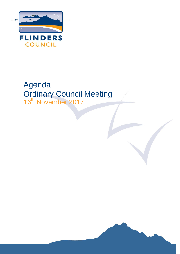

# Agenda Ordinary Council Meeting 16<sup>th</sup> November 2017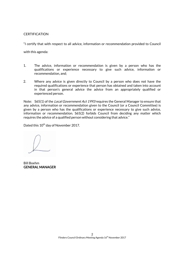### **CERTIFICATION**

"I certify that with respect to all advice, information or recommendation provided to Council

with this agenda:

- 1. The advice, information or recommendation is given by a person who has the qualifications or experience necessary to give such advice, information or recommendation, and;
- 2. Where any advice is given directly to Council by a person who does not have the required qualifications or experience that person has obtained and taken into account in that person's general advice the advice from an appropriately qualified or experienced person.

Note: S65(1) of the *Local Government Act 1993* requires the General Manager to ensure that any advice, information or recommendation given to the Council (or a Council Committee) is given by a person who has the qualifications or experience necessary to give such advice, information or recommendation. S65(2) forbids Council from deciding any matter which requires the advice of a qualified person without considering that advice."

Dated this 10<sup>th</sup> day of November 2017.

Bill Boehm GENERAL MANAGER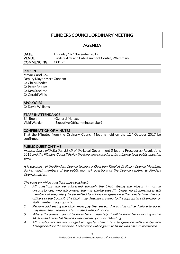# FLINDERS COUNCIL ORDINARY MEETING

AGENDA

| DATE:              | Thursday 16 <sup>th</sup> November 2017           |
|--------------------|---------------------------------------------------|
| <b>VENUE:</b>      | Flinders Arts and Entertainment Centre, Whitemark |
| <b>COMMENCING:</b> | $1.00 \,\mathrm{pm}$                              |

### PRESENT

Mayor Carol Cox Deputy Mayor Marc Cobham Cr Chris Rhodes Cr Peter Rhodes Cr Ken Stockton Cr Gerald Willis

### APOLOGIES

Cr David Williams

### STAFF IN ATTENDANCE

Bill Boehm - General Manager Vicki Warden - Executive Officer (minute taker)

#### CONFIRMATION OF MINUTES

That the Minutes from the Ordinary Council Meeting held on the  $12<sup>th</sup>$  October 2017 be confirmed.

#### PUBLIC QUESTION TIME

In accordance with Section 31 (1) of the Local Government (Meeting Procedures) Regulations 2015 and the Flinders Council Policy the following procedures be adhered to at public question time:

It is the policy of the Flinders Council to allow a 'Question Time' at Ordinary Council Meetings, during which members of the public may ask questions of the Council relating to Flinders Council matters.

The basis on which questions may be asked is:

- 1. All questions will be addressed through the Chair (being the Mayor in normal circumstances) who will answer them as she/he sees fit. Under no circumstances will members of the gallery be permitted to address or question either elected members or officers of the Council. The Chair may delegate answers to the appropriate Councillor or staff member if appropriate.
- 2. Persons addressing the Chair must pay the respect due to that office. Failure to do so may mean their address is terminated without notice.
- 3. Where the answer cannot be provided immediately, it will be provided in writing within 14 days and tabled at the following Ordinary Council Meeting.
- 4. All questioners are encouraged to register their intent to question with the General Manager before the meeting. Preference will be given to those who have so registered.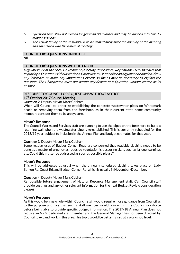- 5. Question time shall not extend longer than 30 minutes and may be divided into two 15 minute sessions.
- 6. The actual timing of the session(s) is to be immediately after the opening of the meeting and advertised with the notice of meeting.

### COUNCILLOR'S QUESTIONS ON NOTICE

Nil

### COUNCILLOR'S QUESTIONS WITHOUT NOTICE

Regulation 29 of the Local Government (Meeting Procedures) Regulations 2015 specifies that in putting a Question Without Notice a Councillor must not offer an argument or opinion, draw any inference or make any imputations except so far as may be necessary to explain the question. The Chairperson must not permit any debate of a Question without Notice or its answer.

### RESPONSE TO COUNCILLOR'S QUESTIONS WITHOUT NOTICE 12<sup>th</sup> October 2017 Council Meeting

### Question 2: Deputy Mayor Marc Cobham

When will Council be either re-establishing the concrete wastewater pipes on Whitemark beach or removing them from the foreshore, as in their current state some community members consider them to be an eyesore.

### Mayor's Response

The Council Works and Services staff are planning to use the pipes on the foreshore to build a retaining wall when the wastewater pipe is re-established. This is currently scheduled for the 2018/19 year, subject to inclusion in the Annual Plan and budget estimates for that year.

### Question 3: Deputy Mayor Marc Cobham

Some regular uses of Badger Corner Road are concerned that roadside slashing needs to be done as a matter of urgency as roadside vegetation is obscuring signs such as bridge warnings etc. Could this matter be addressed as soon as possible please?

#### Mayor's Response

This will be addressed as usual when the annually scheduled slashing takes place on Lady Barron Rd, Coast Rd, and Badger Corner Rd, which is usually in November/December.

#### Question 4: Deputy Mayor Marc Cobham

Re: possible future engagement of Natural Resource Management staff. Can Council staff provide costings and any other relevant information for the next Budget Review consideration please?

#### Mayor's Response

As this would be a new role within Council, staff would require more guidance from Council as to the purpose and role that such a staff member would play within the Council workforce before being able to provide specific budget information. The 2017/18 Annual Plan does not require an NRM dedicated staff member and the General Manager has not been directed by Council to expand work in this area.This topic would be better raised at a workshop level.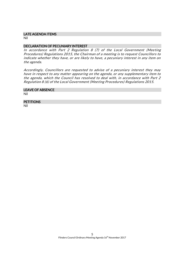### LATE AGENDA ITEMS

Nil

### DECLARATION OF PECUNIARY INTEREST

In accordance with Part 2 Regulation 8 (7) of the Local Government (Meeting Procedures) Regulations 2015, the Chairman of a meeting is to request Councillors to indicate whether they have, or are likely to have, a pecuniary interest in any item on the agenda.

Accordingly, Councillors are requested to advise of a pecuniary interest they may have in respect to any matter appearing on the agenda, or any supplementary item to the agenda, which the Council has resolved to deal with, in accordance with Part 2 Regulation 8 (6) of the Local Government (Meeting Procedures) Regulations 2015.

# LEAVE OF ABSENCE

Nil

## **PETITIONS**

Nil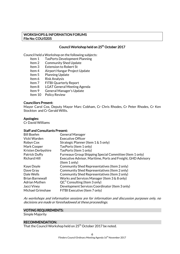### WORKSHOPS & INFORMATION FORUMS File No: COU/0205

### Council Workshop held on 25<sup>th</sup> October 2017

Council held a Workshop on the following subjects:

- Item 1 TasPorts Development Planning
- Item 2 Community Shed Update
- Item 3 Extension to Robert St
- Item 4 Airport Hangar Project Update
- Item 5 Planning Update
- Item 6 Risk Analysis
- Item 7 FITBI Quarterly Report
- Item 8 LGAT General Meeting Agenda
- Item 9 General Manager's Update
- Item 10 Policy Review

### Councillors Present:

Mayor Carol Cox, Deputy Mayor Marc Cobham, Cr Chris Rhodes, Cr Peter Rhodes, Cr Ken Stockton and Cr Gerald Willis.

### Apologies:

Cr David Williams

### Staff and Consultants Present:

| <b>Bill Boehm</b>      | <b>General Manager</b>                                       |
|------------------------|--------------------------------------------------------------|
| Vicki Warden           | <b>Executive Officer</b>                                     |
| Robyn Cox              | Strategic Planner (Item 1 & 5 only)                          |
| Mark Cooper            | TasPorts (Item 1 only)                                       |
| Kristen Derbyshire     | TasPorts (Item 1 only)                                       |
| <b>Patrick Duffy</b>   | Furneaux Group Shipping Special Committee (Item 1 only)      |
| <b>Richard Hill</b>    | Executive Advisor, Maritime, Ports and Freight, GHD Advisory |
|                        | (Item 1 only)                                                |
| Kaye Doyle             | Community Shed Representatives (Item 2 only)                 |
| Dave Gray              | Community Shed Representatives (Item 2 only)                 |
| Dale Wells             | Community Shed Representatives (Item 2 only)                 |
| <b>Brian Barnewall</b> | Works and Services Manager (Item 3 & 8 only)                 |
| <b>Adrian Mythen</b>   | $QC^3$ Consulting (Item 3 only)                              |
| Jacci Viney            | Development Services Coordinator (Item 3 only)               |
| Michael Grimshaw       | FITBI Executive (Item 7 only)                                |

As workshops and information sessions are for information and discussion purposes only, no decisions are made or foreshadowed at these proceedings.

### VOTING REQUIREMENTS:

Simple Majority

#### RECOMMENDATION:

That the Council Workshop held on 25<sup>th</sup> October 2017 be noted.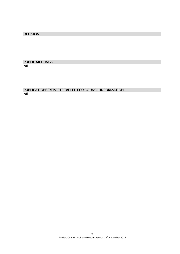### DECISION:

### PUBLIC MEETINGS Nil

PUBLICATIONS/REPORTS TABLED FOR COUNCIL INFORMATION Nil

> 7 Flinders Council Ordinary Meeting Agenda 16<sup>th</sup> November 2017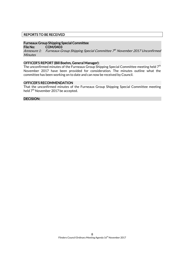### REPORTS TO BE RECEIVED

### Furneaux Group Shipping Special Committee

File No: COM/0403

Annexure 1: Furneaux Group Shipping Special Committee 7th November 2017 Unconfirmed **Minutes** 

#### OFFICER'S REPORT (Bill Boehm, General Manager):

The unconfirmed minutes of the Furneaux Group Shipping Special Committee meeting held 7<sup>th</sup> November 2017 have been provided for consideration. The minutes outline what the committee has been working on to date and can now be received by Council.

### OFFICER'S RECOMMENDATION

That the unconfirmed minutes of the Furneaux Group Shipping Special Committee meeting held 7<sup>th</sup> November 2017 be accepted.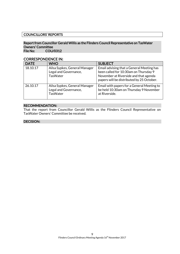### COUNCILLORS' REPORTS

### Report from Councillor Gerald Willis as the Flinders Council Representative on TasWater Owners' Committee File No: COU/0312

CORRESPONDENCE IN:

| <b>DATE</b> | <b>WHO</b>                                                                | <b>SUBJECT</b>                                                                                                                                                           |
|-------------|---------------------------------------------------------------------------|--------------------------------------------------------------------------------------------------------------------------------------------------------------------------|
| 18.10.17    | Ailsa Sypkes, General Manager<br>Legal and Governance,<br><b>TasWater</b> | Email advising that a General Meeting has<br>been called for 10:30am on Thursday 9<br>November at Riverside and that agenda<br>papers will be distributed by 25 October. |
| 26.10.17    | Ailsa Sypkes, General Manager<br>Legal and Governance,<br><b>TasWater</b> | Email with papers for a General Meeting to<br>be held 10:30am on Thursday 9 November<br>at Riverside.                                                                    |

#### RECOMMENDATION:

That the report from Councillor Gerald Willis as the Flinders Council Representative on TasWater Owners' Committee be received.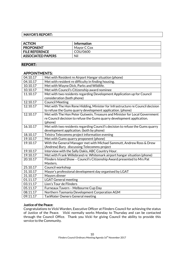### MAYOR'S REPORT:

| <b>ACTION</b>            | <b>Information</b> |
|--------------------------|--------------------|
| <b>PROPONENT</b>         | Mayor C Cox        |
| <b>FILE REFERENCE</b>    | COU/0600           |
| <b>ASSOCIATED PAPERS</b> | Nil                |

### REPORT:

### APPOINTMENTS:

| 04.10.17 | Met with Resident re Airport Hangar situation (phone)                          |
|----------|--------------------------------------------------------------------------------|
| 04.10.17 | Met with resident re difficulty in finding housing.                            |
| 10.10.17 | Met with Wayne Dick, Parks and Wildlife.                                       |
| 10.10.17 | Met with Council's Citizenship award nominee                                   |
| 11.10.17 | Met with two residents regarding Development Application up for Council        |
|          | consideration (both phone)                                                     |
| 12.10.17 | <b>Council Meeting</b>                                                         |
| 12.10.17 | Met with The Hon Rene Hidding, Minister for Infrastructure re Council decision |
|          | to refuse the Gums quarry development application. (phone)                     |
| 12.10.17 | Met with The Hon Peter Gutwein, Treasure and Minister for Local Government     |
|          | re Council decision to refuse the Gums quarry development application.         |
|          | (phone)                                                                        |
| 16.10.17 | Met with two residents regarding Council's decision to refuse the Gums quarry  |
|          | development application. (both by phone)                                       |
| 18.10.17 | Telstra Telecomms project information evening                                  |
| 19.10.17 | Met with Gums quarry proponent (phone)                                         |
| 19.10.17 | With the General Manager met with Michael Sammutt, Andrew Ross & Drew          |
|          | (Andrew) Bury discussing Telecomms project                                     |
| 19.10.17 | Interview with the Sally Dakis, ABC Country Hour.                              |
| 19.10.17 | Met with Frank Willebrand re: Whitemark airport hangar situation (phone)       |
| 20.10.17 | Flinders Island Show - Council's Citizenship Award presented to Mrs Pat        |
|          | Masters.                                                                       |
| 25.10.17 | Council workshop                                                               |
| 31.10.17 | Mayor's professional development day organised by LGAT                         |
| 31.10.17 | Mayors dinner                                                                  |
| 01.11.17 | <b>LGAT General meeting</b>                                                    |
| 03.11.17 | Lion's Tour de Flinders                                                        |
| 05.11.17 | Furneaux Tavern - Melbourne Cup Day                                            |
| 08.11.17 | Northern Tasmania Development Corporation AGM                                  |
| 09.11.17 | <b>TasWater Owners General meeting</b>                                         |

### Justice of the Peace:

Congratulations to Vicki Warden, Executive Officer at Flinders Council for achieving the status of Justice of the Peace. Vicki normally works Monday to Thursday and can be contacted through the Council Office. Thank you Vicki for giving Council the ability to provide this service to the Community.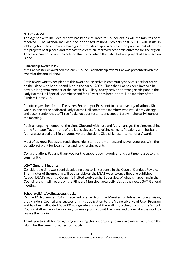### NTDC – AGM:

The Agenda with included reports has been circulated to Councillors, as will the minutes once received. The agenda included the prioritised regional projects that NTDC will assist in lobbying for. These projects have gone through an approved selection process that identifies the projects best placed and forecast to create an improved economic outcome for the region. There are currently four projects on that list of which the Safe Harbour project at Lady Barron is one.

### Citizenship Award 2017:

Mrs Pat Masters is awarded the 2017 Council's citizenship award. Pat was presented with the award at the annual show.

Pat is a very worthy recipient of this award being active in community service since her arrival on the Island with her husband Alan in the early 1980's. Since then Pat has been involved in bowls, a long term member of the hospital Auxiliary, a very active and strong participant in the Lady Barron Hall Special Committee and for 13 years has been, and still is a member of the Flinders Lions Club.

Pat often gave her time as Treasurer, Secretary or President to the above organisations. She was also one of the dedicated Lady Barron Hall committee members who would provide egg and bacon sandwiches to Three Peaks race contestants and support crew in the early hours of the morning.

Pat is an ongoing member of the Lions Club and with husband Alan, manages the bingo machine at the Furneaux Tavern, one of the Lions biggest fund raising earners. Pat along with husband Alan was awarded the Melvin Jones Award, the Lions Club's highest International Award.

Most of us know Pat as she tends the garden stall at the markets and is ever generous with the donation of plant for local raffles and fund raising events.

Congratulations Pat, and thank you for the support you have given and continue to give to this community.

### LGAT General Meeting:

Considerable time was spent developing a sectorial response to the Code of Conduct Review. The minutes of the meeting will be available on the LGAT website once they are published. At each LGAT meeting a Council is invited to give a short overview of what is happening in their Council area. I will report on the Flinders Municipal area activities at the next LGAT General meeting.

### School walking/cycling access track:

On the  $8<sup>th</sup>$  November 2017, I received a letter from the Minister for Infrastructure advising that Flinders Council was successful in its application to the Vulnerable Road User Program and has been allocated \$50,000 to regrade and seal the walking/cycling track to the School. Council staff will now be working to develop and submit the plans and undertake the work to realise the funding.

Thank you to staff for recognising and using this opportunity to improve infrastructure on the Island for the benefit of our school pupils.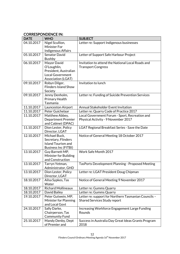# CORRESPONDENCE IN:

| <b>DATE</b> | <b>WHO</b>                                | <b>SUBJECT</b>                                       |
|-------------|-------------------------------------------|------------------------------------------------------|
| 04.10.2017  | Nigel Scullion,                           | Letter re: Support Indigenous businesses             |
|             | <b>Minister For</b>                       |                                                      |
|             | Indigenous Affairs                        |                                                      |
| 05.10.2017  | <b>Senator David</b>                      | Letter of Support Safe Harbour Project               |
|             | <b>Bushby</b>                             |                                                      |
| 06.10.2017  | Mayor David                               | Invitation to attend the National Local Roads and    |
|             | O'Loughlin,                               | <b>Transport Congress</b>                            |
|             | President, Australian                     |                                                      |
|             | <b>Local Government</b>                   |                                                      |
|             | Association (LGAT)                        |                                                      |
| 09.10.2017  | Robyn Dilger,                             | Invitation to lunch                                  |
|             | <b>Flinders Island Show</b>               |                                                      |
| 09.10.2017  | Society                                   |                                                      |
|             | Jenny Denholm,                            | Letter re: Funding of Suicide Prevention Services    |
|             | Primary Health<br>Tasmania                |                                                      |
| 11.10.2017  | Launceston Airport                        | Annual Stakeholder Event Invitation                  |
| 11.10.2017  | Peter Guichelaar                          | Letter re: Quarry Code of Practice 2017              |
| 11.10.2017  | Matthew Abbey,                            | Local Government Forum - Sport, Recreation and       |
|             | <b>Department Premier</b>                 | Physical Activity - 9 November 2017                  |
|             | and Cabinet (DPAC)                        |                                                      |
| 11.10.2017  | Dion Lester, Policy                       | LGAT Regional Breakfast Series - Save the Date       |
|             | Director, LGAT                            |                                                      |
| 12.10.2017  | Michael Buck,                             | Notice of General Meeting 18 October 2017            |
|             | Secretary, Flinders                       |                                                      |
|             | <b>Island Tourism and</b>                 |                                                      |
|             | <b>Business Inc (FITBI)</b>               |                                                      |
| 13.10.2017  | Guy Barnett MP,                           | Work Safe Month 2017                                 |
|             | Minister for Building                     |                                                      |
|             | and Construction                          |                                                      |
| 13.10.2017  | Tarryn Yetman,                            | TasPorts Development Planning - Proposed Meeting     |
|             | Administrator, GHD                        |                                                      |
| 13.10.2017  | Dion Lester, Policy                       | Letter re: LGAT President Doug Chipman               |
|             | Director, LGAT                            |                                                      |
| 18.10.2017  | Ailsa Sypkes, Tas                         | Notice of General Meeting 9 November 2017            |
|             | Water                                     |                                                      |
| 18.10.2017  | <b>Richard Mollineaux</b>                 | Letter re: Gumms Quarry                              |
| 18.10.2017  | David Bailey                              | Letter re: Gumms Quarry                              |
| 19.10.2017  | Peter Gutwein, MP,                        | Letter re: support for Northern Tasmanian Councils - |
|             | Minister for Planning                     | <b>Shared Services Study report</b>                  |
|             | and Local Govt                            |                                                      |
| 24.10.2017  | Sally Darke,                              | Increasing Workforce Engagement Large Funding        |
|             | Chairperson, Tas<br><b>Community Fund</b> | Rounds                                               |
| 25.10.2017  | Mandy Denby, Dept                         | Success in Australia Day Great Ideas Grants Program  |
|             | of Premier and                            | 2018                                                 |
|             |                                           |                                                      |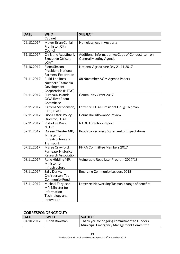| <b>DATE</b> | <b>WHO</b>                                                                          | <b>SUBJECT</b>                                                                      |
|-------------|-------------------------------------------------------------------------------------|-------------------------------------------------------------------------------------|
|             | Cabinet                                                                             |                                                                                     |
| 26.10.2017  | Mayor Brian Cunial,<br>Frankston City<br>Council                                    | Homelessness in Australia                                                           |
| 31.10.2017  | Christine Agostinelli,<br>Executive Officer,<br><b>LGAT</b>                         | Additional Information re: Code of Conduct Item on<br><b>General Meeting Agenda</b> |
| 31.10.2017  | Fiona Simson,<br>President, National<br><b>Farmers' Federation</b>                  | National Agriculture Day 21.11.2017                                                 |
| 01.11.2017  | Rikki-Lee Ross,<br>Northern Tasmania<br>Development<br>Corporation (NTDC)           | 08 November AGM Agenda Papers                                                       |
| 04.11.2017  | <b>Furneaux Islands</b><br><b>CWA Rest Room</b><br>Committee                        | <b>Community Grant 2017</b>                                                         |
| 06.11.2017  | Katrena Stephenson,<br>CEO, LGAT                                                    | Letter re: LGAT President Doug Chipman                                              |
| 07.11.2017  | Dion Lester, Policy<br>Director, LGAT                                               | <b>Councillor Allowance Review</b>                                                  |
| 07.11.2017  | Rikki-Lee Ross,<br><b>NTDC</b>                                                      | <b>NTDC Directors Report</b>                                                        |
| 07.11.2017  | Darren Chester MP,<br>Minister for<br>Infrastructure and<br>Transport               | Roads to Recovery Statement of Expectations                                         |
| 07.11.2017  | Maree Crawford,<br><b>Furneaux Historical</b><br><b>Research Association</b>        | FHRA Committee Members 2017                                                         |
| 08.11.2017  | Rene Hidding MP,<br>Minister for<br>Infrastructure                                  | Vulnerable Road User Program 2017/18                                                |
| 08.11.2017  | Sally Darke,<br>Chairperson, Tas<br><b>Community Fund</b>                           | <b>Emerging Community Leaders 2018</b>                                              |
| 15.11.2017  | Michael Ferguson<br>MP, Minister for<br>Information<br>Technology and<br>Innovation | Letter re: Networking Tasmania range of benefits                                    |

# CORRESPONDENCE OUT:

| <b>DATE</b> | <b>WHO</b>   | <b>SUBJECT</b>                                                        |
|-------------|--------------|-----------------------------------------------------------------------|
| 04.10.2017  | Chris Bowman | $\overline{\phantom{a}}$ Thank you for ongoing commitment to Flinders |
|             |              | Municipal Emergency Management Committee                              |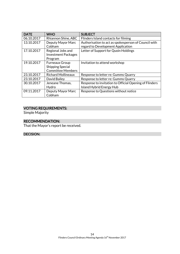| <b>DATE</b> | <b>WHO</b>                 | <b>SUBJECT</b>                                         |
|-------------|----------------------------|--------------------------------------------------------|
| 06.10.2017  | Rhiannon Shine, ABC        | Flinders Island contacts for filming                   |
| 13.10.2017  | Deputy Mayor Marc          | Authorisation to act as spokesperson of Council with   |
|             | Cobham                     | regard to Development Application                      |
| 17.10.2017  | Regional Jobs and          | Letter of Support for Quoin Holdings                   |
|             | <b>Investment Packages</b> |                                                        |
|             | Program                    |                                                        |
| 19.10.2017  | <b>Furneaux Group</b>      | Invitation to attend workshop                          |
|             | <b>Shipping Special</b>    |                                                        |
|             | <b>Committee Members</b>   |                                                        |
| 23.10.2017  | <b>Richard Mollineaux</b>  | Response to letter re: Gumms Quarry                    |
| 23.10.2017  | David Bailey               | Response to letter re: Gumms Quarry                    |
| 30.10.2017  | Jeneane Thomas,            | Response to invitation to Official Opening of Flinders |
|             | Hydro                      | <b>Island Hybrid Energy Hub</b>                        |
| 09.11.2017  | Deputy Mayor Marc          | Response to Questions without notice                   |
|             | Cobham                     |                                                        |

### VOTING REQUIREMENTS:

Simple Majority

# RECOMMENDATION:

That the Mayor's report be received.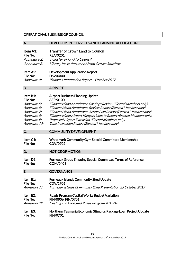### OPERATIONAL BUSINESS OF COUNCIL

| А.              | DEVELOPMENT SERVICES AND PLANNING APPLICATIONS                       |
|-----------------|----------------------------------------------------------------------|
| Item A1:        | <b>Transfer of Crown Land to Council</b>                             |
| File No:        | <b>REA/0201</b>                                                      |
| Annexure 2:     | <b>Transfer of land to Council</b>                                   |
| Annexure 3:     | Library lease document from Crown Solicitor                          |
| Item A2:        | <b>Development Application Report</b>                                |
| <b>File No:</b> | <b>DSV/0300</b>                                                      |
| Annexure 4:     | Planner's Information Report - October 2017                          |
| <b>B.</b>       | <b>AIRPORT</b>                                                       |
| Item B1:        | <b>Airport Business Planning Update</b>                              |
| File No:        | <b>AER/0100</b>                                                      |
| Annexure 5:     | Flinders Island Aerodrome Costings Review (Elected Members only)     |
| Annexure 6:     | Flinders Island Aerodrome Review Report (Elected Members only)       |
| Annexure 7:     | Flinders Island Aerodrome Action Plan Report (Elected Members only)  |
| Annexure 8:     | Flinders Island Airport Hangars Update Report (Elected Members only) |
| Annexure 9:     | Proposed Airport Extension (Elected Members only)                    |
| Annexure 10:    | Tank Inspection Report (Elected Members only)                        |
| C.              | <b>COMMUNITY DEVELOPMENT</b>                                         |
| Item C1:        | <b>Whitemark Community Gym Special Committee Membership</b>          |
| <b>File No:</b> | <b>CDV/0702</b>                                                      |
| D.              | <b>NOTICE OF MOTION</b>                                              |
| Item D1:        | <b>Furneaux Group Shipping Special Committee Terms of Reference</b>  |
| <b>File No:</b> | COM/0403                                                             |
| E.              | <b>GOVERNANCE</b>                                                    |
| Item E1:        | <b>Furneaux Islands Community Shed Update</b>                        |
| File No:        | CDV/1706                                                             |
| Annexure 11:    | Furneaux Islands Community Shed Presentation 25 October 2017         |
| Item E2:        | <b>Roads Program Capital Works Budget Variation</b>                  |
| File No:        | FIN/0906, FIN/0701                                                   |
| Annexure 12:    | Existing and Proposed Roads Program 2017/18                          |
| Item E3:        | Northern Tasmania Economic Stimulus Package Loan Project Update      |
| File No:        | <b>FIN/0701</b>                                                      |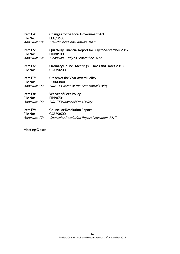| Item E4:<br>File No:            | <b>Changes to the Local Government Act</b><br><b>LEG/0600</b>            |
|---------------------------------|--------------------------------------------------------------------------|
| <i>Annexure 13:</i>             | <b>Stakeholder Consultation Paper</b>                                    |
| Item E5:<br>File No:            | Quarterly Financial Report for July to September 2017<br><b>FIN/0100</b> |
| Annexure 14:                    | Financials - July to September 2017                                      |
| Item E6:<br>File No:            | <b>Ordinary Council Meetings - Times and Dates 2018</b><br>COU/0203      |
| Item E7:<br>File No:            | <b>Citizen of the Year Award Policy</b><br><b>PUB/0800</b>               |
| <i>Annexure 15:</i>             | DRAFT Citizen of the Year Award Policy                                   |
| Item E8:                        | <b>Waiver of Fees Policy</b>                                             |
| File No:<br><i>Annexure 16:</i> | <b>FIN/0701</b><br><b>DRAFT Waiver of Fees Policy</b>                    |
| Item E9:                        | <b>Councillor Resolution Report</b>                                      |
| File No:                        | <b>COU/0600</b>                                                          |
| <i>Annexure 17:</i>             | <b>Councillor Resolution Report November 2017</b>                        |

# Meeting Closed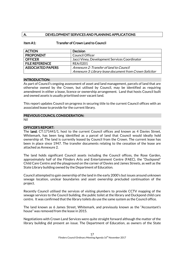### A. DEVELOPMENT SERVICES AND PLANNING APPLICATIONS

### Item A1: Transfer of Crown Land to Council

| <b>ACTION</b>            | <b>Decision</b>                                         |
|--------------------------|---------------------------------------------------------|
| <b>PROPONENT</b>         | <b>Council Officer</b>                                  |
| <b>OFFICER</b>           | Jacci Viney, Development Services Coordinator           |
| <b>FILE REFERENCE</b>    | <b>REA/0201</b>                                         |
| <b>ASSOCIATED PAPERS</b> | Annexure 2: Transfer of land to Council                 |
|                          | Annexure 3: Library lease document from Crown Solicitor |

### INTRODUCTION:

As part of Council's ongoing assessment of asset and land management, parcels of land that are otherwise owned by the Crown, but utilised by Council, may be identified as requiring amendment in either a lease, licence or ownership arrangement. Land that hosts Council built and owned assets is usually prioritised over vacant land.

This report updates Council on progress in securing title to the current Council offices with an associated lease to provide for the current library.

### PREVIOUS COUNCIL CONSIDERATION:

Nil

### OFFICER'S REPORT:

The land; CT:171441/1, host to the current Council offices and known as 4 Davies Street, Whitemark, has been long identified as a parcel of land that Council would ideally hold ownership of. The land is currently leased by Council from the Crown. The current lease has been in place since 1947. The transfer documents relating to the cessation of the lease are attached as Annexure 2.

The land holds significant Council assets including the Council offices, the Rose Garden, approximately half of the Flinders Arts and Entertainment Centre (FAEC), the "Duckpond" Child Care Centre and the playground on the corner of Davies and James Streets, as well as the State Library building owned by the Department of Education.

Council attempted to gain ownership of the land in the early 2000's but issues around unknown sewage location, unclear boundaries and asset ownership precluded continuation of the project.

Recently Council utilised the services of visiting plumbers to provide CCTV mapping of the sewage services to the Council building, the public toilet at the library and Duckpond child care centre. It was confirmed that the library toilets do use the same system as the Council office.

The land known as 6 James Street, Whitemark, and previously known as the "Accountant's house" was removed from the lease in 2015.

Negotiations with Crown Land Services were quite straight forward although the matter of the library building did present an issue. The Department of Education, as owners of the State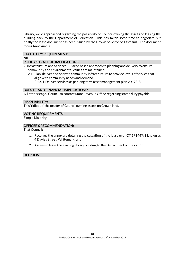Library, were approached regarding the possibility of Council owning the asset and leasing the building back to the Department of Education. This has taken some time to negotiate but finally the lease document has been issued by the Crown Solicitor of Tasmania. The document forms Annexure 3.

### STATUTORY REQUIREMENT:

### Nil

### POLICY/STRATEGIC IMPLICATIONS:

- 2. Infrastructure and Services Placed based approach to planning and delivery to ensure community and environmental values are maintained.
	- 2.1 Plan, deliver and operate community infrastructure to provide levels of service that align with community needs and demand.

2.1.4.1 Deliver services as per long term asset management plan 2017/18.

### BUDGET AND FINANCIAL IMPLICATIONS:

Nil at this stage. Council to contact State Revenue Office regarding stamp duty payable.

### RISK/LIABILITY:

This 'tidies up' the matter of Council owning assets on Crown land.

### VOTING REQUIREMENTS:

Simple Majority

### OFFICER'S RECOMMENDATION:

That Council:

- 1. Receives the annexure detailing the cessation of the lease over CT:171447/1 known as 4 Davies Street, Whitemark; and
- 2. Agrees to lease the existing library building to the Department of Education.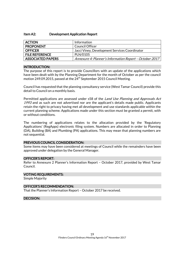#### Item A2: Development Application Report

| <b>ACTION</b>            | Information                                             |
|--------------------------|---------------------------------------------------------|
| <b>PROPONENT</b>         | Council Officer                                         |
| <b>OFFICER</b>           | Jacci Viney, Development Services Coordinator           |
| <b>FILE REFERENCE</b>    | PLN/0105                                                |
| <b>ASSOCIATED PAPERS</b> | Annexure 4: Planner's Information Report - October 2017 |

### INTRODUCTION:

The purpose of this report is to provide Councillors with an update of the applications which have been dealt with by the Planning Department for the month of October as per the council motion 249.09.2015, passed at the 24<sup>th</sup> September 2015 Council Meeting.

Council has requested that the planning consultancy service (West Tamar Council) provide this detail to Council on a monthly basis.

Permitted applications are assessed under s58 of the *Land Use Planning and Approvals Act* 1993 and as such are not advertised nor are the applicant's details made public. Applicants retain the right to privacy having met all development and use standards applicable within the current planning scheme. Applications made under this section must be granted a permit, with or without conditions.

The numbering of applications relates to the allocation provided by the 'Regulatory Applications' (RegApps) electronic filing system. Numbers are allocated in order to Planning (DA), Building (BA) and Plumbing (PA) applications. This may mean that planning numbers are not sequential.

#### PREVIOUS COUNCIL CONSIDERATION:

Some items may have been considered at meetings of Council while the remainders have been approved under delegation by the General Manager.

#### OFFICER'S REPORT:

Refer to Annexure 2 Planner's Information Report – October 2017, provided by West Tamar Council.

#### VOTING REQUIREMENTS:

Simple Majority

#### OFFICER'S RECOMMENDATION:

That the Planner's Information Report – October 2017 be received.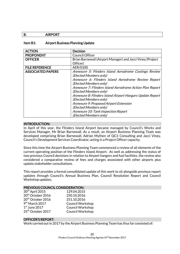### B. AIRPORT

### Item B1: Airport Business Planning Update

| <b>ACTION</b>            | <b>Decision</b>                                            |  |  |
|--------------------------|------------------------------------------------------------|--|--|
| <b>PROPONENT</b>         | <b>Council Officer</b>                                     |  |  |
| <b>OFFICER</b>           | Brian Barnewall (Airport Manager) and Jacci Viney (Project |  |  |
|                          | Officer)                                                   |  |  |
| <b>FILE REFERENCE</b>    | AER/0100                                                   |  |  |
| <b>ASSOCIATED PAPERS</b> | Annexure 5: Flinders Island Aerodrome Costings Review      |  |  |
|                          | (Elected Members only)                                     |  |  |
|                          | Annexure 6: Flinders Island Aerodrome Review Report        |  |  |
|                          | (Elected Members only)                                     |  |  |
|                          | Annexure 7: Flinders Island Aerodrome Action Plan Report   |  |  |
|                          | (Elected Members only)                                     |  |  |
|                          | Annexure 8: Flinders Island Airport Hangars Update Report  |  |  |
|                          | (Elected Members only)                                     |  |  |
|                          | Annexure 9: Proposed Airport Extension                     |  |  |
|                          | (Elected Members only)                                     |  |  |
|                          | Annexure 10: Tank Inspection Report                        |  |  |
|                          | (Elected Members only)                                     |  |  |

### INTRODUCTION:

In April of this year, the Flinders Island Airport became managed by Council's Works and Services Manager, Mr Brian Barnewall. As a result, an Airport Business Planning Team was developed comprising Brian Barnewall, Adrian Mythen of QC3 Consulting and Jacci Viney, Council's Development Services Coordinator, acting in a Project Officer capacity.

Since this time the Airport Business Planning Team commenced a review of all elements of the current operating position of the Flinders Island Airport. As well as addressing the status of two previous Council decisions in relation to Airport hangers and fuel facilities, the review also considered a comparative review of fees and charges associated with other airports plus update stakeholder consultations.

This report provides a formal consolidated update of this work to sit alongside previous report updates through Council's Annual Business Plan, Council Resolution Report and Council Workshop updates.

#### PREVIOUS COUNCIL CONSIDERATION:

| 30 <sup>th</sup> April 2015   | 129.04.2015      |
|-------------------------------|------------------|
| 20 <sup>th</sup> October 2016 | 250.10.2016      |
| 20 <sup>th</sup> October 2016 | 251.10.2016      |
| $9th$ March 2017              | Council Workshop |
| $1st$ June 2017               | Council Workshop |
| 25 <sup>th</sup> October 2017 | Council Workshop |

### OFFICER'S REPORT:

Work carried out in 2017 by the Airport Business Planning Team has thus far consisted of: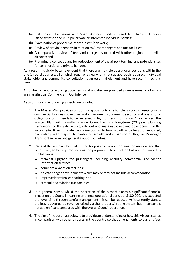- (a) Stakeholder discussions with Sharp Airlines, Flinders Island Air Charters, Flinders Island Aviation and multiple private or interested individual parties;
- (b) Examination of previous Airport Master Plan work;
- (c) Review of previous reports in relation to Airport hangers and fuel facilities;
- (d) A comparative review of fees and charges associated with other regional or similar airports; and
- (e) Preliminary concept plans for redevelopment of the airport terminal and potential sites for commercial and private hangers.

As a result it quickly became evident that there are multiple operational positions within the one (airport) business, all of which require review with a holistic approach required. Individual stakeholder and community consultation is an essential element and have reconfirmed this view.

A number of reports, working documents and updates are provided as Annexures, all of which are classified as 'Commercial in Confidence'.

As a summary, the following aspects are of note:

- 1. The Master Plan provides an optimal spatial outcome for the airport in keeping with commercial business objectives and environmental, planning, security and operational obligations but it needs to be reviewed in light of new information. Once revised, the Master Plan will formally provide Council with a long-term (20 year) planning framework for the safe, secure, efficient and sustainable use and development of the airport site. It will provide clear direction as to how growth is to be accommodated, particularly with respect to continued growth and expansion of Regular Passenger Transport services and general aviation activities.
- 2. Parts of the site have been identified for possible future non-aviation uses on land that is not likely to be required for aviation purposes. These include but are not limited to the following:
	- terminal upgrade for passengers including ancillary commercial and visitor information services;
	- commercial aviation facilities;
	- private hanger developments which may or may not include accommodation;
	- improved terminal car parking; and
	- streamlined aviation fuel facilities.
- 3. In a general sense, whilst the operation of the airport places a significant financial impact on the Council incurring an annual operational deficit of \$180,000, it is expected that over time through careful management this can be reduced. As it currently stands, the loss is covered by revenue raised via the (property) rating system but in context is not as significant compared with the overall Council operation.
- 4. The aim of the costings review is to provide an understanding of how this Airport stands in comparison with other airports in the country so that amendments to current fees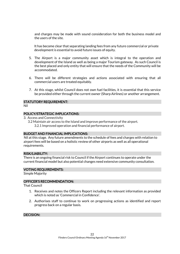and charges may be made with sound consideration for both the business model and the users of the site.

It has become clear that separating landing fees from any future commercial or private development is essential to avoid future issues of equity.

- 5. The Airport is a major community asset which is integral to the operation and development of the Island as well as being a major Tourism gateway. As such Council is the best placed and only entity that will ensure that the needs of the Community will be accommodated.
- 6. There will be different strategies and actions associated with ensuring that all commercial users are treated equitably.
- 7. At this stage, whilst Council does not own fuel facilities, it is essential that this service be provided either through the current owner (Sharp Airlines) or another arrangement.

### STATUTORY REQUIREMENT:

Nil

#### POLICY/STRATEGIC IMPLICATIONS:

- 3. Access and Connectivity
	- 3.2 Maintain air access to the Island and improve performance of the airport. 3.2.1 Improved operation and financial performance of airport.

#### BUDGET AND FINANCIAL IMPLICATIONS:

Nil at this stage. Any future amendments to the schedule of fees and charges with relation to airport fees will be based on a holistic review of other airports as well as all operational requirements.

### RISK/LIABILITY:

There is an ongoing financial risk to Council if the Airport continues to operate under the current financial model but also potential changes need extensive community consultation.

#### VOTING REQUIREMENTS:

Simple Majority

### OFFICER'S RECOMMENDATION:

That Council

- 1. Receives and notes the Officers Report including the relevant information as provided which is noted as 'Commercial in Confidence'.
- 2. Authorises staff to continue to work on progressing actions as identified and report progress back on a regular basis.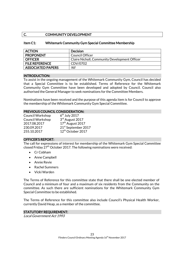### C. COMMUNITY DEVELOPMENT

### Item C1: Whitemark Community Gym Special Committee Membership

| <b>ACTION</b>            | <b>Decision</b>                               |
|--------------------------|-----------------------------------------------|
| <b>PROPONENT</b>         | Council Officer                               |
| <b>OFFICER</b>           | Claire Nicholl, Community Development Officer |
| <b>FILE REFERENCE</b>    | CDV/0702                                      |
| <b>ASSOCIATED PAPERS</b> | Nil                                           |

### INTRODUCTION:

To assist in the ongoing management of the Whitemark Community Gym, Council has decided that a Special Committee is to be established. Terms of Reference for the Whitemark Community Gym Committee have been developed and adopted by Council. Council also authorised the General Manager to seek nominations for the Committee Members.

Nominations have been received and the purpose of this agenda item is for Council to approve the membership of the Whitemark Community Gym Special Committee.

### PREVIOUS COUNCIL CONSIDERATION:

| <b>Council Workshop</b> | $6th$ July 2017               |
|-------------------------|-------------------------------|
| <b>Council Workshop</b> | 3rd August 2017               |
| 2017.08.2017            | 17 <sup>th</sup> August 2017  |
| 230.09.2017             | 21st September 2017           |
| 255.10.2017             | 12 <sup>th</sup> October 2017 |

### OFFICER'S REPORT:

The call for expressions of interest for membership of the Whitemark Gym Special Committee closed Friday  $27<sup>th</sup>$  October 2017. The following nominations were received:

- Cr Cobham
- Anne Campbell
- Annie Revie
- Rachel Summers
- Vicki Warden

The Terms of Reference for this committee state that there shall be one elected member of Council and a minimum of four and a maximum of six residents from the Community on the committee. As such there are sufficient nominations for the Whitemark Community Gym Special Committee to be established.

The Terms of Reference for this committee also include Council's Physical Health Worker, currently David Heap, as a member of the committee.

### STATUTORY REQUIREMENT:

Local Government Act 1993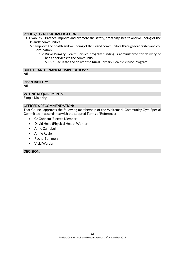### POLICY/STRATEGIC IMPLICATIONS:

- 5.0 Livability Protect, improve and promote the safety, creativity, health and wellbeing of the Islands' communities.
	- 5.1 Improve the health and wellbeing of the Island communities through leadership and coordination.
		- 5.1.2 Rural Primary Health Service program funding is administered for delivery of health services to the community.
			- 5.1.2.1 Facilitate and deliver the Rural Primary Health Service Program.

### BUDGET AND FINANCIAL IMPLICATIONS:

Nil

### RISK/LIABILITY:

Nil

### VOTING REQUIREMENTS:

Simple Majority

### OFFICER'S RECOMMENDATION:

That Council approves the following membership of the Whitemark Community Gym Special Committee in accordance with the adopted Terms of Reference:

- Cr Cobham (Elected Member)
- David Heap (Physical Health Worker)
- Anne Campbell
- Annie Revie
- Rachel Summers
- Vicki Warden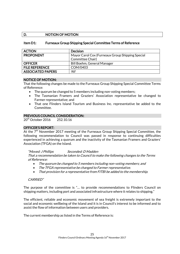### D. NOTION OF MOTION

### Item D1: Furneaux Group Shipping Special Committee Terms of Reference

| <b>ACTION</b>            | <b>Decision</b>                                  |  |
|--------------------------|--------------------------------------------------|--|
| <b>PROPONENT</b>         | Mayor Carol Cox (Furneaux Group Shipping Special |  |
|                          | Committee Chair)                                 |  |
| <b>OFFICER</b>           | Bill Boehm, General Manager                      |  |
| <b>FILE REFERENCE</b>    | COM/0403                                         |  |
| <b>ASSOCIATED PAPERS</b> | Nil                                              |  |

### NOTICE OF MOTION:

That the following changes be made to the Furneaux Group Shipping Special Committee Terms of Reference:

- The quorum be changed to 5 members including non-voting members;
- The Tasmanian Framers and Graziers' Association representative be changed to Farmer representative; and
- That one Flinders Island Tourism and Business Inc. representative be added to the Committee.

### PREVIOUS COUNCIL CONSIDERATION:

20<sup>th</sup> October 2016 252.10.16

### OFFICER'S REPORT:

At the  $7<sup>th</sup>$  November 2017 meeting of the Furneaux Group Shipping Special Committee, the following recommendation to Council was passed in response to continuing difficulties experienced in achieving a quorum and the inactivity of the Tasmanian Framers and Graziers' Association (TFGA) on the Island.

#### "Moved: J Phillips Seconded: D Madden

That a recommendation be taken to Council to make the following changes to the Terms of Reference:

- The quorum be changed to 5 members including non-voting members; and
- The TFGA representative be changed to Farmer representative.
- That provision for a representative from FITBI be added to the membership.

### CARRIED"

The purpose of the committee is "… to provide recommendations to Flinders Council on shipping matters, including port and associated infrastructure where it relates to shipping."

The efficient, reliable and economic movement of sea freight is extremely important to the social and economic wellbeing of the Island and it is in Council's interest to be informed and to assist the flow of information between users and providers.

The current membership as listed in the Terms of Reference is: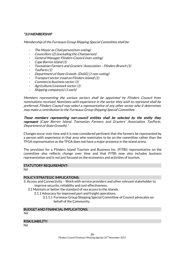### "3.0 MEMBERSHIP

Membership of the Furneaux Group Shipping Special Committee shall be:

- The Mayor as Chairperson(non-voting)
- Councillors (2) (excluding the Chairperson)
- General Manager Flinders Council (non-voting)
- Cape Barren Island (1)
- Tasmanian Farmers and Graziers' Association Flinders Branch (1)
- TasPorts (1)
- Department of State Growth (DoSG) (1 non-voting)
- Transport sector (road on Flinders Island) (1)
- Commerce/business sector (1)
- Agriculture/Livestock sector (1)
- Shipping company(s) (1 each)

Members representing the various sectors shall be appointed by Flinders Council from nominations received. Nominees with experience in the sector they wish to represent shall be preferred. Flinders Council may select a representative of any other sector who it determines may make a contribution to the Furneaux Group Shipping Special Committee.

Those members representing non-council entities shall be selected by the entity they represent (Cape Barren Island, Tasmanian Farmers and Graziers' Association, TasPorts, Department of State Growth)."

Changes occur over time and it is now considered pertinent that the farmers be represented by a person with experience in that area who nominates to be on the committee rather than the TFGA representative as the TFGA does not have a major presence in the island arena.

The provision for a Flinders Island Tourism and Business Inc. (FITBI) representative on the committee also reflects change over time and that FITBI now also includes business representation and is not just focused on the economics and activities of tourism.

#### STATUTORY REQUIREMENT:

Nil

### POLICY/STRATEGIC IMPLICATIONS:

- 3. Access and Connectivity Work with service providers and other relevant stakeholder to improve security, reliability and cost effectiveness.
	- 3.1 Maintain or better the standard of sea access to the Islands.
		- 3.1.1 Advocacy for improved port and freight operations.
			- 3.1.1.1 Furneaux Group Shipping Special Committee of Council advocates on behalf of the Community.

#### BUDGET AND FINANCIAL IMPLICATIONS:

Nil

#### RISK/LIABILITY:

Nil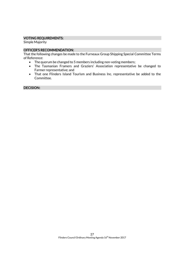### VOTING REQUIREMENTS:

Simple Majority

### OFFICER'S RECOMMENDATION:

That the following changes be made to the Furneaux Group Shipping Special Committee Terms of Reference:

- The quorum be changed to 5 members including non-voting members;
- The Tasmanian Framers and Graziers' Association representative be changed to Farmer representative; and
- That one Flinders Island Tourism and Business Inc. representative be added to the Committee.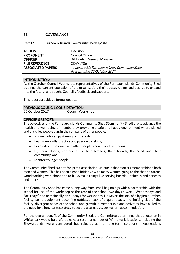### E1. GOVERNANCE

### Item E1: Furneaux Islands Community Shed Update

| <b>ACTION</b>            | <b>Decision</b>                              |  |
|--------------------------|----------------------------------------------|--|
| <b>PROPONENT</b>         | <b>Council Officer</b>                       |  |
| <b>OFFICER</b>           | <b>Bill Boehm, General Manager</b>           |  |
| <b>FILE REFERENCE</b>    | CDV/1706                                     |  |
| <b>ASSOCIATED PAPERS</b> | Annexure 11: Furneaux Islands Community Shed |  |
|                          | Presentation 25 October 2017                 |  |

### INTRODUCTION:

At the October Council Workshop, representatives of the Furneaux Islands Community Shed outlined the current operation of the organisation, their strategic aims and desires to expand into the future, and sought Council's feedback and support.

This report provides a formal update.

### PREVIOUS COUNCIL CONSIDERATION:

### OFFICER'S REPORT:

The objectives of the Furneaux Islands Community Shed (Community Shed) are to advance the health and well-being of members by providing a safe and happy environment where skilled and unskilled people can, in the company of other people:

- Pursue hobbies, pastimes and interests;
- Learn new skills, practice and pass on old skills;
- Learn about their own and other people's health and well-being;
- By their efforts, contribute to their families, their friends, the Shed and their community; and
- Mentor younger people.

The Community Shed is a not-for-profit association, unique in that it offers membership to both men and women. This has been a good initiative with many women going to the shed to attend wood working workshops and to build/make things like serving boards, kitchen island benches and tables.

The Community Shed has come a long way from small beginnings with a partnership with the school for use of the workshop at the rear of the school two days a week (Wednesdays and Saturdays) and occasionally on Sundays for workshops. However, the lack of a hygienic kitchen facility, some equipment becoming outdated, lack of a quiet space, the limiting size of the facility, divergent needs of the school and growth in membership and activities, have all led to the need for a long-term strategy to secure alternative, permanent accommodation.

For the overall benefit of the Community Shed, the Committee determined that a location in Whitemark would be preferable. As a result, a number of Whitemark locations, including the Showgrounds, were considered but rejected as not long-term solutions. Investigations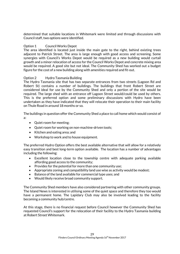determined that suitable locations in Whitemark were limited and through discussions with Council staff, two options were identified.

### Option 1 Council Works Depot

The area identified is located just inside the main gate to the right, behind existing trees adjacent to Patrick Street. The area is large enough with good access and screening. Some synergies with Council's Works Depot would be required as a new building would curtail growth and a minor relocation of access for the Council Works Depot and concrete mixing area would be required. A good site but not ideal. The Community Shed has worked out a budget figure for the cost of a new building along with amenities required and fit-out.

### Option 2 Hydro Tasmania Building

The Hydro Tasmania site that has two separate entrances from two streets (Lagoon Rd and Robert St) contains a number of buildings. The buildings that front Robert Street are considered ideal for use by the Community Shed and only a portion of the site would be required. The large shed with an entrance off Lagoon Street would/could be used by others. This is the preferred option and some preliminary discussions with Hydro have been undertaken as they have indicated that they will relocate their operation to their main facility on Thule Road in around 18 months or so.

The buildings in question offer the Community Shed a place to call home which would consist of a:

- Quiet room for meeting;
- Quiet room for working on non-machine-driven tools;
- Kitchen and eating area; and
- Workshop to work and to house equipment.

The preferred Hydro Option offers the best available alternative that will allow for a relatively easy transition and best long-term option available. The location has a number of advantages including the following:

- Excellent location close to the township centre with adequate parking available affording good access to the community;
- Provides for the potential for more than one community use;
- Appropriate zoning and compatibility land use wise as activity would be modest;
- Balance of the land available for commercial type uses; and
- Would likely receive broad community support.

The Community Shed members have also considered partnering with other community groups. The Island News is interested in utilising some of the quiet space and therefore they too would have a permanent home. The Lapidary Club may also be involved leading to the facility becoming a community hub/centre.

At this stage, there is no financial request before Council however the Community Shed has requested Council's support for the relocation of their facility to the Hydro Tasmania building at Robert Street Whitemark.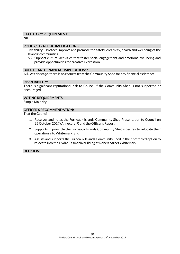### STATUTORY REQUIREMENT:

Nil

### POLICY/STRATEGIC IMPLICATIONS:

- 5. Liveability Protect, improve and promote the safety, creativity, health and wellbeing of the Islands' communities.
	- 5.2 Support cultural activities that foster social engagement and emotional wellbeing and provide opportunities for creative expression.

### BUDGET AND FINANCIAL IMPLICATIONS:

Nil. At this stage, there is no request from the Community Shed for any financial assistance.

### RISK/LIABILITY:

There is significant reputational risk to Council if the Community Shed is not supported or encouraged.

### VOTING REQUIREMENTS:

Simple Majority

### OFFICER'S RECOMMENDATION:

That the Council:

- 1. Receives and notes the Furneaux Islands Community Shed Presentation to Council on 25 October 2017 (Annexure 9) and the Officer's Report;
- 2. Supports in principle the Furneaux Islands Community Shed's desires to relocate their operation into Whitemark; and
- 3. Assists and supports the Furneaux Islands Community Shed in their preferred option to relocate into the Hydro Tasmania building at Robert Street Whitemark.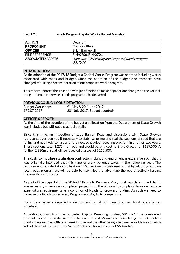### Item E2: Roads Program Capital Works Budget Variation

| <b>ACTION</b>            | <b>Decision</b>                                  |  |
|--------------------------|--------------------------------------------------|--|
| <b>PROPONENT</b>         | Council Officer                                  |  |
| <b>OFFICER</b>           | <b>Brian Barnewall</b>                           |  |
| <b>FILE REFERENCE</b>    | FIN/0906, FIN/0701                               |  |
| <b>ASSOCIATED PAPERS</b> | Annexure 12: Existing and Proposed Roads Program |  |
|                          | 2017/18                                          |  |

### INTRODUCTION:

At the adoption of the 2017/18 Budget a Capital Works Program was adopted including works associated with roads and bridges. Since the adoption of the budget circumstances have changed requiring a reconsideration of our proposed works program.

This report updates the situation with justification to make appropriate changes to the Council budget to enable a revised roads program to be delivered.

### PREVIOUS COUNCIL CONSIDERATION:

| <b>Budget Workshops</b> | $9th$ May & 29 <sup>th</sup> June 2017      |
|-------------------------|---------------------------------------------|
| 172.07.2017             | 20 <sup>th</sup> July 2017 (Budget adopted) |

### OFFICER'S REPORT:

At the time of the adoption of the budget an allocation from the Department of State Growth was included but without the actual details.

Since this time, an inspection of Lady Barron Road and discussions with State Growth representatives deemed it necessary to stabilise, prime and seal the sections of road that are failing and not likely to last until the next scheduled resealing program in another two years. These sections total 1,275m of road and would be at a cost to State Growth of \$187,500. A further 2,230m of road will be resealed at a cost of \$112,500.

The costs to mobilise stabilisation contractors, plant and equipment is expensive such that it was originally intended that this type of work be undertaken in the following year. The requirement to undertake stabilisation on State Growth roads means that by adapting our own local roads program we will be able to maximise the advantage thereby effectively halving these mobilisation costs.

As part of the acquittal of the 2016/17 Roads to Recovery Program it was determined that it was necessary to remove a completed project from the list so as to comply with our own source expenditure requirements as a condition of Roads to Recovery funding. As such we need to increase our Roads to Recovery Program in 2017/18 to compensate.

Both these aspects required a reconsideration of our own proposed local roads works schedule.

Accordingly, apart from the budgeted Capital Resealing totaling \$314,963 it is considered prudent to add the stabilisation of two sections of Memana Rd; one being the 500 metres breaking up just past Officers Creek Bridge and the other being a two metre width area on each side of the road just past "Four Winds" entrance for a distance of 550 metres.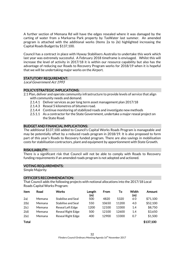A further section of Memana Rd will have the edges resealed where it was damaged by the carting of water from a Markarna Park property by TasWater last summer. An amended program is attached with the additional works (Items 2a to 2e) highlighted increasing the Capital Roads Budget by \$137,100.

Council has a contract in place with Hyway Stabilisers Australia to undertake this work which last year was extremely successful. A February 2018 timeframe is envisaged. Whilst this will increase the level of activity in 2017/18 it is within our resource capability but also has the advantage of reducing our Roads to Recovery Program works for 2018/19 when it is hopeful that we will be undertaking major works on the Airport.

### STATUTORY REQUIREMENT:

Local Government Act 1993

### POLICY/STRATEGIC IMPLICATIONS:

- 2.1 Plan, deliver and operate community infrastructure to provide levels of service that align with community needs and demand.
	- 2.1.4.1 Deliver services as per long term asset management plan 2017/18
	- 2.1.4.3 Reseal 5 kilometres of bitumen road.
	- 2.1.4.4 Continue monitoring of stabilized roads and investigate new methods
	- 2.5.1.1 As a contractor for the State Government, undertake a major reseal project on the State Road.

### BUDGET AND FINANCIAL IMPLICATIONS:

The additional \$137,100 added to Council's Capital Works Roads Program is manageable and may be potentially offset by a reduced roads program in 2018/19. It is also proposed to form part of this year's Roads to Recovery funded program. There are also savings in mobilisation costs for stabilisation contractors, plant and equipment by apportionment with State Growth.

#### RISK/LIABILITY:

There is a significant risk that Council will not be able to comply with Roads to Recovery funding requirements if an amended roads program is not adopted and actioned.

#### VOTING REQUIREMENTS:

Simple Majority

#### OFFICER'S RECOMMENDATION:

That Council adds the following projects with notional allocations into the 2017/18 Local Roads Capital Works Program:

| <b>Item</b>  | Road   | Works                     | Length<br>(m) | From  | To    | Width<br>(m) | Amount    |
|--------------|--------|---------------------------|---------------|-------|-------|--------------|-----------|
| 2a)          | Memana | <b>Stabilise and Seal</b> | 500           | 4820  | 5320  | 60           | \$71,100  |
| 2(b)         | Memana | Stabilise and Seal        | 550           | 10650 | 11200 | 4.0          | \$52,100  |
| 2(c)         | Memana | Reseal Left Edge          | 1200          | 12100 | 13300 | 1.4          | \$8,750   |
| 2(d)         | Memana | <b>Reseal Right Edge</b>  | 500           | 12100 | 12600 | 1.4          | \$3,650   |
| 2(e)         | Memana | <b>Reseal Right Edge</b>  | 400           | 12900 | 13300 | 0.7          | \$1,500   |
| <b>Total</b> |        |                           |               |       |       |              | \$137,100 |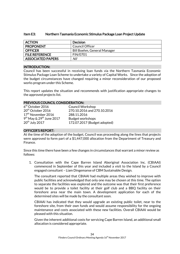| Item E3: | Northern Tasmania Economic Stimulus Package Loan Project Update |
|----------|-----------------------------------------------------------------|
|----------|-----------------------------------------------------------------|

| <b>ACTION</b>            | <b>Decision</b>             |
|--------------------------|-----------------------------|
| <b>PROPONENT</b>         | Council Officer             |
| <b>OFFICER</b>           | Bill Boehm, General Manager |
| <b>FILE REFERENCE</b>    | <b>FIN/0701</b>             |
| <b>ASSOCIATED PAPERS</b> | Nil                         |

### INTRODUCTION:

Council has been successful in receiving loan funds via the Northern Tasmania Economic Stimulus Package Loan Scheme to undertake a variety of Capital Works. Since the adoption of the budget circumstances have changed requiring a minor reconsideration of our proposed works program under this Scheme.

This report updates the situation and recommends with justification appropriate changes to the approved projects list.

### PREVIOUS COUNCIL CONSIDERATION:

| $6th$ October 2016                     | <b>Council Workshop</b>      |
|----------------------------------------|------------------------------|
| 20 <sup>th</sup> October 2016          | 270.10.2016 and 270.10.2016  |
| 17 <sup>th</sup> November 2016         | 288.11.2016                  |
| $9th$ May & 29 <sup>th</sup> June 2017 | <b>Budget workshops</b>      |
| 20 <sup>th</sup> July 2017             | 172.07.2017 (Budget adopted) |

### OFFICER'S REPORT:

At the time of the adoption of the budget, Council was proceeding along the lines that projects were approved to form part of a \$1,447,000 allocation from the Department of Treasury and Finance.

Since this time there have been a few changes in circumstances that warrant a minor review as follows:

1. Consultation with the Cape Barren Island Aboriginal Association Inc. (CBIAAI) commenced in September of this year and included a visit to the Island by a Council engaged consultant – Liam Dingemanse of CBM Sustainable Design.

The consultant reported that CBIAAI had multiple areas they wished to improve with public facilities and acknowledged that only one may be chosen at this time. The option to separate the facilities was explored and the outcome was that their first preference would be to provide a toilet facility at their golf club and a BBQ facility on their foreshore area near the main town. A development application for each of the determined sites will be made by the consultant soon.

CBIAAI has indicated that they would upgrade an existing public toilet, near to the foreshore site, from their own funds and would assume responsibility for the ongoing maintenance and costs associated with these new facilities. Overall CBIAAI would be pleased with this situation.

Given the inherent additional costs for servicing Cape Barren Island, an additional small allocation is considered appropriate.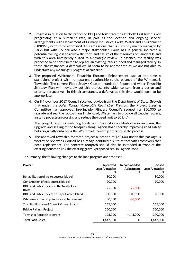- 2. Progress in relation to the proposed BBQ and toilet facilities at North East River is not progressing at a sufficient rate, in part as the location and ongoing service arrangements with Department of Primary Industries, Parks, Water and Environment (DPIPWE) need to be addressed. This area is one that is currently mainly managed by Parks but with Council also a major stakeholder. Parks has in general indicated a potential willingness to review the form and nature of the resources on Flinders Island with this area imminently suited to a strategic review. In essence, the facility was proposed to be constructed to replace an existing Parks funded and managed facility. In these circumstances, a deferral would seem to be appropriate as we are not able to undertake any meaningful progress at this time.
- 3. The proposed Whitemark Township Entrance Enhancement was at the time a standalone project with no apparent relationship to the balance of the Whitemark Township. The current Flood Study / Coastal Inundation Report and wider Township Strategy Plan will inevitably put this project into wider context from a design and priority perspective. In this circumstance, a deferral at this time would seem to be appropriate.
- 4. On 8 November 2017 Council received advice from the Department of State Growth that under the *Safer Roads: Vulnerable Road User Program* the Project Steering Committee has approved, in-principle, Flinders Council's request for \$50,000 to regrade and seal the footpath on Thule Road, Whitemark to provide all weather access, install a pedestrian crossing and reduce the speed limit to 80 km/h.

This project requires matching funds with Council's contribution also involving the upgrade and sealing of the footpath along Lagoon Road thereby improving road safety but also greatly enhancing the Whitemark township entrance in the process.

5. The approved township footpath project allocation of \$50,000 under this package is worthy of review as Council has already identified a suite of footpath crossovers that need replacement. The concrete footpath should also be extended in front of the existing houses to link the existing gravel /proposed seal in Lagoon Road.

In summary, the following changes to the loan program are proposed:

| Project                                           | Approved<br><b>Loan Allocation</b><br>\$ | Recommended<br>Adjustment | <b>Revised</b><br><b>Loan Allocation</b> |
|---------------------------------------------------|------------------------------------------|---------------------------|------------------------------------------|
| Rehabilitation of insitu putrescible cell         | 80,000                                   |                           | 80,000                                   |
| Construction of new putrescible cell              | 90,000                                   |                           | 90,000                                   |
| BBQ and Public Toilets at the North-East<br>River | 75,000                                   | $-75,000$                 |                                          |
| BBQ and Public Toilets on Cape Barren Island      | 80,000                                   | $+10,000$                 | 90,000                                   |
| Whitemark township entrance enhancement           | 80,000                                   | $-80,000$                 |                                          |
| The 'Stabilisation of Council Gravel Roads'       | 567,000                                  |                           | 567,000                                  |
| <b>Bridge Railings Project</b>                    | 350,000                                  |                           | 350,000                                  |
| Township footpath program                         | 125,000                                  | $+145,000$                | 270,000                                  |
| <b>Total Loan Costs</b>                           | 1,447,000                                | 0                         | 1,447,000                                |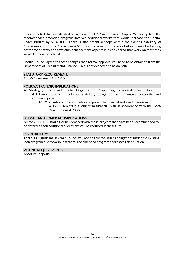It is also noted that as indicated on agenda item E2 Roads Program Capital Works Update, the recommended amended program involves additional works that would increase the Capital Roads Budget by \$137,100. There is also potential scope within the existing category of 'Stabilisation of Council Gravel Roads' to include some of this work but in terms of achieving better road safety and township enhancement aspects it is considered that work on footpaths would be more beneficial.

Should Council agree to these changes then formal approval will need to be obtained from the Department of Treasury and Finance. This is not expected to be an issue.

#### STATUTORY REQUIREMENT:

Local Government Act 1993

#### POLICY/STRATEGIC IMPLICATIONS:

- 4.0 Strategic, Efficient and Effective Organisation Responding to risks and opportunities. 4.3 Ensure Council meets its statutory obligations and manages corporate and community risk.
	- 4.3.21 An integrated and strategic approach to financial and asset management. 4.3.21.1. Maintain a long-term financial plan in accordance with the Local Government Act 1993.

### BUDGET AND FINANCIAL IMPLICATIONS:

Nil for 2017/18. Should Council proceed with those projects that have been recommended to be deferred then additional allocations will be required in the future.

#### RISK/LIABILITY:

There is a significant risk that Council will not be able to fulfill its obligations under the existing loan program due to various factors. The amended program addresses this situation.

### VOTING REQUIREMENTS:

Absolute Majority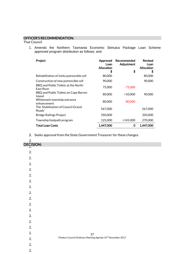### OFFICER'S RECOMMENDATION:

That Council

1. Amends the Northern Tasmania Economic Stimulus Package Loan Scheme approved program distribution as follows; and

| Project                                            | Approved<br>Loan<br>Allocation<br>S | Recommended<br>Adjustment<br>\$ | <b>Revised</b><br>Loan<br>Allocation<br>\$ |
|----------------------------------------------------|-------------------------------------|---------------------------------|--------------------------------------------|
| Rehabilitation of insitu putrescible cell          | 80,000                              |                                 | 80,000                                     |
| Construction of new putrescible cell               | 90,000                              |                                 | 90,000                                     |
| BBQ and Public Toilets at the North-<br>East River | 75,000                              | $-75,000$                       |                                            |
| BBQ and Public Toilets on Cape Barren<br>Island    | 80,000                              | $+10,000$                       | 90,000                                     |
| Whitemark township entrance<br>enhancement         | 80,000                              | $-80,000$                       |                                            |
| The 'Stabilisation of Council Gravel<br>Roads'     | 567,000                             |                                 | 567,000                                    |
| <b>Bridge Railings Project</b>                     | 350,000                             |                                 | 350,000                                    |
| Township footpath program                          | 125,000                             | $+145,000$                      | 270,000                                    |
| Total Loan Costs                                   | 1,447,000                           | O                               | 1.447.000                                  |

2. Seeks approval from the State Government Treasurer for these changes.

| 2.<br>DECISION: |                                                                              |
|-----------------|------------------------------------------------------------------------------|
|                 |                                                                              |
| 2.              |                                                                              |
| 2.              |                                                                              |
| 2.              |                                                                              |
| 2.              |                                                                              |
| 2.              |                                                                              |
| 2.              |                                                                              |
| 2.              |                                                                              |
| 2.              |                                                                              |
| 2.              |                                                                              |
| 2.              |                                                                              |
| 2.              |                                                                              |
| 2.              |                                                                              |
| 2.              |                                                                              |
| 2.              |                                                                              |
| 2.              | $37$ Flinders Council Ordinary Meeting Agenda 16 <sup>th</sup> November 2017 |
| 2.              |                                                                              |
| 2.              |                                                                              |
| 2.              |                                                                              |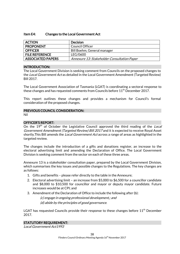### Item E4: Changes to the Local Government Act

| <b>ACTION</b>            | <b>Decision</b>                             |
|--------------------------|---------------------------------------------|
| <b>PROPONENT</b>         | Council Officer                             |
| <b>OFFICER</b>           | Bill Boehm, General manager                 |
| <b>FILE REFERENCE</b>    | LEG/0600                                    |
| <b>ASSOCIATED PAPERS</b> | Annexure 13: Stakeholder Consultation Paper |

### INTRODUCTION:

The Local Government Division is seeking comment from Councils on the proposed changes to the Local Government Act as detailed in the Local Government Amendment (Targeted Review) Bill 2017.

The Local Government Association of Tasmania (LGAT) is coordinating a sectoral response to these changes and has requested comments from Councils before 11<sup>th</sup> December 2017.

This report outlines these changes and provides a mechanism for Council's formal consideration of the proposed changes.

### PREVIOUS COUNCIL CONSIDERATION:

Nil

### OFFICER'S REPORT:

On the 19<sup>th</sup> of October the Legislative Council approved the third reading of the Local Government Amendment (Targeted Review) Bill 2017 and it is expected to receive Royal Asset shortly. This Bill amends the *Local Government Act* across a range of areas as highlighted in the targeted review.

The changes include the introduction of a gifts and donations register, an increase to the electoral advertising limit and amending the Declaration of Office. The Local Government Division is seeking comment from the sector on each of these three areas.

Annexure 13 is a stakeholder consultation paper, prepared by the Local Government Division, which summarises the key issues and possible changes to the Regulations. The key changes are as follows:

- 1. Gifts and benefits please refer directly to the table in the Annexure;
- 2. Electoral advertising limit an increase from \$5,000 to \$6,500 for a councillor candidate and \$8,000 to \$10,500 for councillor and mayor or deputy mayor candidate. Future increases would be at CPI; and
- 3. Amendment of the Declaration of Office to include the following after (b):

(c) engage in ongoing professional development,; and (d) abide by the principles of good governance.

LGAT has requested Councils provide their response to these changes before 11<sup>th</sup> December 2017.

### STATUTORY REQUIREMENT:

Local Government Act1993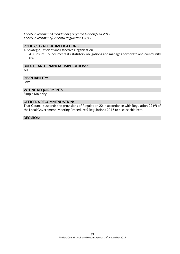### Local Government Amendment (Targeted Review) Bill 2017 Local Government (General) Regulations 2015

### POLICY/STRATEGIC IMPLICATIONS:

4. Strategic, Efficient and Effective Organisation

4.3 Ensure Council meets its statutory obligations and manages corporate and community risk.

### BUDGET AND FINANCIAL IMPLICATIONS:

Nil

### RISK/LIABILITY:

Low

### VOTING REQUIREMENTS:

Simple Majority

### OFFICER'S RECOMMENDATION:

That Council suspends the provisions of Regulation 22 in accordance with Regulation 22 (9) of the Local Government (Meeting Procedures) Regulations 2015 to discuss this item.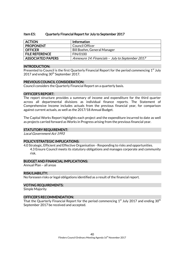### Item E5: Quarterly Financial Report for July to September 2017

| <b>ACTION</b>            | <b>Information</b>                               |
|--------------------------|--------------------------------------------------|
| <b>PROPONENT</b>         | Council Officer                                  |
| <b>OFFICER</b>           | Bill Boehm, General Manager                      |
| <b>FILE REFERENCE</b>    | <b>FIN/0100</b>                                  |
| <b>ASSOCIATED PAPERS</b> | Annexure 14: Financials - July to September 2017 |

#### INTRODUCTION:

Presented to Council is the first Quarterly Financial Report for the period commencing 1<sup>st</sup> July 2017 and ending 30<sup>th</sup> September 2017.

### PREVIOUS COUNCIL CONSIDERATION:

Council considers the Quarterly Financial Report on a quarterly basis.

#### OFFICER'S REPORT:

The report structure provides a summary of income and expenditure for the third quarter across all departmental divisions as individual finance reports. The Statement of Comprehensive Income includes actuals from the previous financial year, for comparison against current actuals, as well as the 2017/18 Annual Budget.

The Capital Works Report highlights each project and the expenditure incurred to date as well as projects carried forward as Works in Progress arising from the previous financial year.

#### STATUTORY REQUIREMENT:

Local Government Act 1993

#### POLICY/STRATEGIC IMPLICATIONS:

4.0 Strategic, Efficient and Effective Organisation - Responding to risks and opportunities. 4.3 Ensure Council meets its statutory obligations and manages corporate and community risk.

#### BUDGET AND FINANCIAL IMPLICATIONS:

Annual Plan – all areas

#### RISK/LIABILITY:

No foreseen risks or legal obligations identified as a result of the financial report.

#### VOTING REQUIREMENTS:

Simple Majority

#### OFFICER'S RECOMMENDATION:

That the Quarterly Financial Report for the period commencing  $1^{\rm st}$  July 2017 and ending 30 $^{\rm th}$ September 2017 be received and accepted.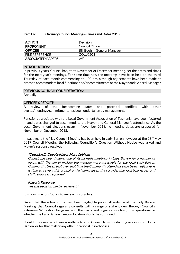### Item E6: Ordinary Council Meetings - Times and Dates 2018

| <b>ACTION</b>            | Decision                    |
|--------------------------|-----------------------------|
| <b>PROPONENT</b>         | Council Officer             |
| <b>OFFICER</b>           | Bill Boehm, General Manager |
| <b>FILE REFERENCE</b>    | COU/0203                    |
| <b>ASSOCIATED PAPERS</b> | Nil                         |

### INTRODUCTION:

In previous years, Council has, at its November or December meeting, set the dates and times for the next year's meetings. For some time now the meetings have been held on the third Thursday of each month commencing at 1.00 pm, although adjustments have been made at times to accommodate local functions and/or commitments of the Mayor and General Manager.

### PREVIOUS COUNCIL CONSIDERATION:

Annually

### OFFICER'S REPORT:

A review of the forthcoming dates and potential conflicts with other events/meetings/commitments has been undertaken by management.

Functions associated with the Local Government Association of Tasmania have been factored in and dates changed to accommodate the Mayor and General Manager's attendance. As the Local Government elections occur in November 2018, no meeting dates are proposed for November or December 2018.

In past years the May Council Meeting has been held in Lady Barron however at the  $18<sup>th</sup>$  May 2017 Council Meeting the following Councillor's Question Without Notice was asked and Mayor's response received:

### "Question 2: Deputy Mayor Marc Cobham

Council has been holding one of its monthly meetings in Lady Barron for a number of years, with the aim of making the meeting more accessible for the local Lady Barron Community. Given that over that time the Community attendance has been negligible, is it time to review this annual undertaking, given the considerable logistical issues and staff resources required?

### Mayor's Response:

Yes this decision can be reviewed."

It is now time for Council to review this practice.

Given that there has in the past been negligible public attendance at the Lady Barron Meeting, that Council regularly consults with a range of stakeholders through Council's extensive Workshop Program, and the costs and logistics involved, it is questionable whether the Lady Barron meeting location should be continued.

Should this eventuate there is nothing to stop Council from conducting workshops in Lady Barron, or for that matter any other location if it so chooses.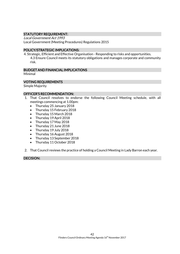### STATUTORY REQUIREMENT:

Local Government Act 1993 Local Government (Meeting Procedures) Regulations 2015

### POLICY/STRATEGIC IMPLICATIONS:

4. Strategic, Efficient and Effective Organisation - Responding to risks and opportunities. 4.3 Ensure Council meets its statutory obligations and manages corporate and community risk.

### BUDGET AND FINANCIAL IMPLICATIONS

Minimal

### VOTING REQUIREMENTS

Simple Majority

### OFFICER'S RECOMMENDATION:

- 1. That Council resolves to endorse the following Council Meeting schedule, with all meetings commencing at 1.00pm:
	- Thursday 25 January 2018
	- Thursday 15 February 2018
	- Thursday 15 March 2018
	- Thursday 19 April 2018
	- Thursday 17 May 2018
	- Thursday 21 June 2018
	- Thursday 19 July 2018
	- Thursday 16 August 2018
	- Thursday 13 September 2018
	- Thursday 11 October 2018
- 2. That Council reviews the practice of holding a Council Meeting in Lady Barron each year.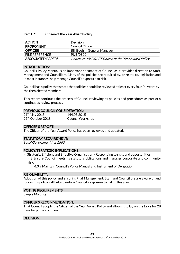### Item E7: Citizen of the Year Award Policy

| <b>ACTION</b>            | <b>Decision</b>                                     |
|--------------------------|-----------------------------------------------------|
| <b>PROPONENT</b>         | Council Officer                                     |
| <b>OFFICER</b>           | Bill Boehm, General Manager                         |
| <b>FILE REFERENCE</b>    | PUB/0800                                            |
| <b>ASSOCIATED PAPERS</b> | Annexure 15: DRAFT Citizen of the Year Award Policy |

### INTRODUCTION:

Council's Policy Manual is an important document of Council as it provides direction to Staff, Management and Councillors. Many of the policies are required by, or relate to, legislation and in most instances, help manage Council's exposure to risk.

Council has a policy that states that policies should be reviewed at least every four (4) years by the then elected members.

This report continues the process of Council reviewing its policies and procedures as part of a continuous review process.

### PREVIOUS COUNCIL CONSIDERATION:

| $21st$ May 2015               | 144.05.2015             |
|-------------------------------|-------------------------|
| 25 <sup>th</sup> October 2018 | <b>Council Workshop</b> |

#### OFFICER'S REPORT:

The Citizen of the Year Award Policy has been reviewed and updated.

#### STATUTORY REQUIREMENT:

Local Government Act 1993

### POLICY/STRATEGIC IMPLICATIONS:

4. Strategic, Efficient and Effective Organisation - Responding to risks and opportunities.

4.3 Ensure Council meets its statutory obligations and manages corporate and community risk.

4.3.9 Maintain Council's Policy Manual and Instrument of Delegation.

#### RISK/LIABILITY:

Adoption of this policy and ensuring that Management, Staff and Councillors are aware of and follow this policy will help to reduce Council's exposure to risk in this area.

### VOTING REQUIREMENTS:

Simple Majority

#### OFFICER'S RECOMMENDATION:

That Council adopts the Citizen of the Year Award Policy and allows it to lay on the table for 28 days for public comment.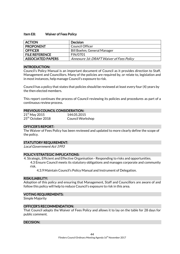### Item E8: Waiver of Fees Policy

| <b>ACTION</b>            | <b>Decision</b>                          |
|--------------------------|------------------------------------------|
| <b>PROPONENT</b>         | Council Officer                          |
| <b>OFFICER</b>           | Bill Boehm, General Manager              |
| <b>FILE REFERENCE</b>    | <b>FIN/0701</b>                          |
| <b>ASSOCIATED PAPERS</b> | Annexure 16: DRAFT Waiver of Fees Policy |

### INTRODUCTION:

Council's Policy Manual is an important document of Council as it provides direction to Staff, Management and Councillors. Many of the policies are required by, or relate to, legislation and in most instances, help manage Council's exposure to risk.

Council has a policy that states that policies should be reviewed at least every four (4) years by the then elected members.

This report continues the process of Council reviewing its policies and procedures as part of a continuous review process.

### PREVIOUS COUNCIL CONSIDERATION:

| $21st$ May 2015               | 144.05.2015             |
|-------------------------------|-------------------------|
| 25 <sup>th</sup> October 2018 | <b>Council Workshop</b> |

### OFFICER'S REPORT:

The Waiver of Fees Policy has been reviewed and updated to more clearly define the scope of the policy.

### STATUTORY REQUIREMENT:

Local Government Act 1993

### POLICY/STRATEGIC IMPLICATIONS:

4. Strategic, Efficient and Effective Organisation - Responding to risks and opportunities.

4.3 Ensure Council meets its statutory obligations and manages corporate and community risk.

4.3.9 Maintain Council's Policy Manual and Instrument of Delegation.

#### RISK/LIABILITY:

Adoption of this policy and ensuring that Management, Staff and Councillors are aware of and follow this policy will help to reduce Council's exposure to risk in this area.

### VOTING REQUIREMENTS:

Simple Majority

### OFFICER'S RECOMMENDATION:

That Council adopts the Waiver of Fees Policy and allows it to lay on the table for 28 days for public comment.